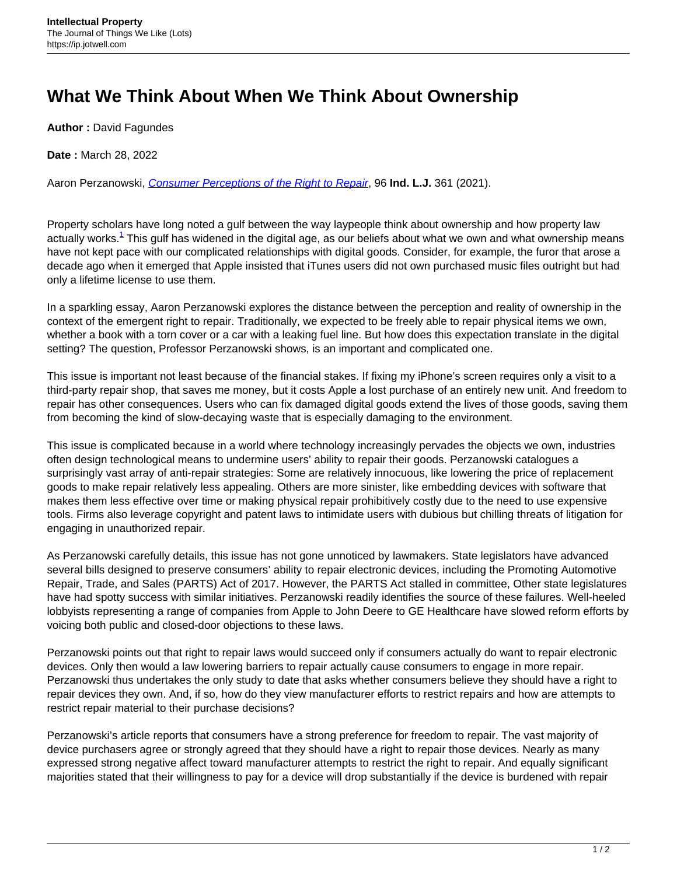## **What We Think About When We Think About Ownership**

**Author :** David Fagundes

**Date :** March 28, 2022

Aaron Perzanowski, [Consumer Perceptions of the Right to Repair](https://www.repository.law.indiana.edu/cgi/viewcontent.cgi?article=11398&context=ilj), 96 **Ind. L.J.** 361 (2021).

Property scholars have long noted a gulf between the way laypeople think about ownership and how property law actually works.<sup>1</sup> This gulf has widened in the digital age, as our beliefs about what we own and what ownership means have not kept pace with our complicated relationships with digital goods. Consider, for example, the furor that arose a decade ago when it emerged that Apple insisted that iTunes users did not own purchased music files outright but had only a lifetime license to use them.

In a sparkling essay, Aaron Perzanowski explores the distance between the perception and reality of ownership in the context of the emergent right to repair. Traditionally, we expected to be freely able to repair physical items we own, whether a book with a torn cover or a car with a leaking fuel line. But how does this expectation translate in the digital setting? The question, Professor Perzanowski shows, is an important and complicated one.

This issue is important not least because of the financial stakes. If fixing my iPhone's screen requires only a visit to a third-party repair shop, that saves me money, but it costs Apple a lost purchase of an entirely new unit. And freedom to repair has other consequences. Users who can fix damaged digital goods extend the lives of those goods, saving them from becoming the kind of slow-decaying waste that is especially damaging to the environment.

This issue is complicated because in a world where technology increasingly pervades the objects we own, industries often design technological means to undermine users' ability to repair their goods. Perzanowski catalogues a surprisingly vast array of anti-repair strategies: Some are relatively innocuous, like lowering the price of replacement goods to make repair relatively less appealing. Others are more sinister, like embedding devices with software that makes them less effective over time or making physical repair prohibitively costly due to the need to use expensive tools. Firms also leverage copyright and patent laws to intimidate users with dubious but chilling threats of litigation for engaging in unauthorized repair.

As Perzanowski carefully details, this issue has not gone unnoticed by lawmakers. State legislators have advanced several bills designed to preserve consumers' ability to repair electronic devices, including the Promoting Automotive Repair, Trade, and Sales (PARTS) Act of 2017. However, the PARTS Act stalled in committee, Other state legislatures have had spotty success with similar initiatives. Perzanowski readily identifies the source of these failures. Well-heeled lobbyists representing a range of companies from Apple to John Deere to GE Healthcare have slowed reform efforts by voicing both public and closed-door objections to these laws.

Perzanowski points out that right to repair laws would succeed only if consumers actually do want to repair electronic devices. Only then would a law lowering barriers to repair actually cause consumers to engage in more repair. Perzanowski thus undertakes the only study to date that asks whether consumers believe they should have a right to repair devices they own. And, if so, how do they view manufacturer efforts to restrict repairs and how are attempts to restrict repair material to their purchase decisions?

Perzanowski's article reports that consumers have a strong preference for freedom to repair. The vast majority of device purchasers agree or strongly agreed that they should have a right to repair those devices. Nearly as many expressed strong negative affect toward manufacturer attempts to restrict the right to repair. And equally significant majorities stated that their willingness to pay for a device will drop substantially if the device is burdened with repair